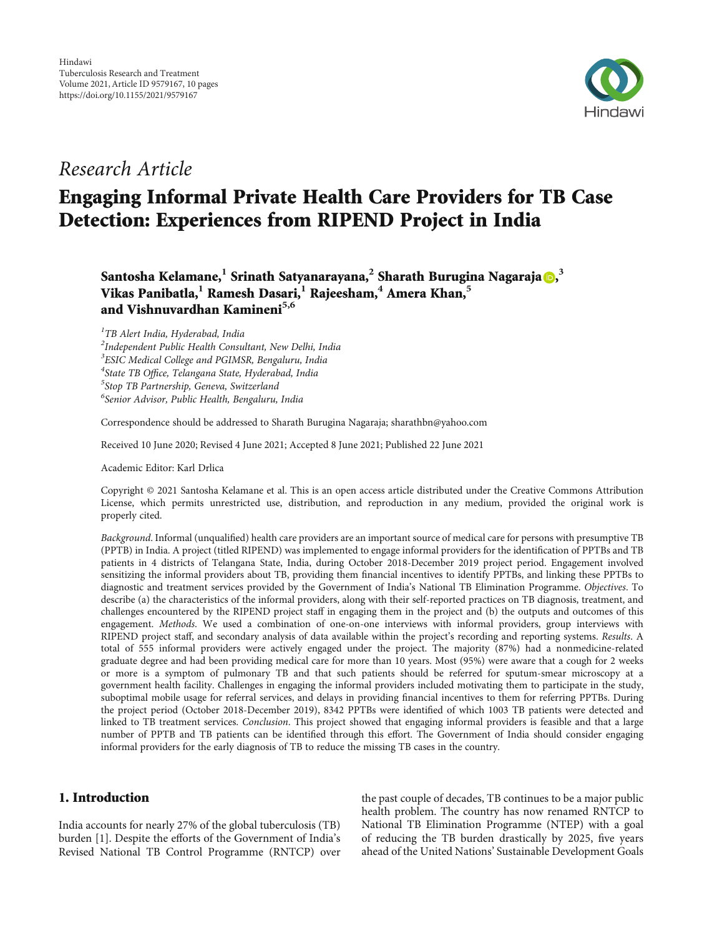

# Research Article

# Engaging Informal Private Health Care Providers for TB Case Detection: Experiences from RIPEND Project in India

 $\mathsf{Santosha}\ \mathsf{Kelamane}, \begin{gathered} \mathsf{1}\ \mathsf{Srinath}\ \mathsf{Satyanarayana}, \begin{gathered} \mathsf{2}\ \mathsf{Sharath}\ \mathsf{Burugina}\ \mathsf{Nagaraja}\ \mathsf{D}, \end{gathered}$  $\mathsf{Santosha}\ \mathsf{Kelamane}, \begin{gathered} \mathsf{1}\ \mathsf{Srinath}\ \mathsf{Satyanarayana}, \begin{gathered} \mathsf{2}\ \mathsf{Sharath}\ \mathsf{Burugina}\ \mathsf{Nagaraja}\ \mathsf{D}, \end{gathered}$  $\mathsf{Santosha}\ \mathsf{Kelamane}, \begin{gathered} \mathsf{1}\ \mathsf{Srinath}\ \mathsf{Satyanarayana}, \begin{gathered} \mathsf{2}\ \mathsf{Sharath}\ \mathsf{Burugina}\ \mathsf{Nagaraja}\ \mathsf{D}, \end{gathered}$ Vikas Panibatla,**<sup>1</sup>** Ramesh Dasari,**<sup>1</sup>** Rajeesham,**<sup>4</sup>** Amera Khan,**<sup>5</sup>** and Vishnuvardhan Kamineni**5,6**

<sup>1</sup>TB Alert India, Hyderabad, India  $^{2}$ Independent Public Health Consultant, New Delhi, India <sup>3</sup>ESIC Medical College and PGIMSR, Bengaluru, India <sup>4</sup>State TB Office, Telangana State, Hyderabad, India<br><sup>5</sup>Stop TB Partnership Geneva, Switzerland  $5$ Stop TB Partnership, Geneva, Switzerland 6 Senior Advisor, Public Health, Bengaluru, India

Correspondence should be addressed to Sharath Burugina Nagaraja; sharathbn@yahoo.com

Received 10 June 2020; Revised 4 June 2021; Accepted 8 June 2021; Published 22 June 2021

Academic Editor: Karl Drlica

Copyright © 2021 Santosha Kelamane et al. This is an open access article distributed under the [Creative Commons Attribution](https://creativecommons.org/licenses/by/4.0/) [License,](https://creativecommons.org/licenses/by/4.0/) which permits unrestricted use, distribution, and reproduction in any medium, provided the original work is properly cited.

Background. Informal (unqualified) health care providers are an important source of medical care for persons with presumptive TB (PPTB) in India. A project (titled RIPEND) was implemented to engage informal providers for the identification of PPTBs and TB patients in 4 districts of Telangana State, India, during October 2018-December 2019 project period. Engagement involved sensitizing the informal providers about TB, providing them financial incentives to identify PPTBs, and linking these PPTBs to diagnostic and treatment services provided by the Government of India's National TB Elimination Programme. Objectives. To describe (a) the characteristics of the informal providers, along with their self-reported practices on TB diagnosis, treatment, and challenges encountered by the RIPEND project staff in engaging them in the project and (b) the outputs and outcomes of this engagement. Methods. We used a combination of one-on-one interviews with informal providers, group interviews with RIPEND project staff, and secondary analysis of data available within the project's recording and reporting systems. Results. A total of 555 informal providers were actively engaged under the project. The majority (87%) had a nonmedicine-related graduate degree and had been providing medical care for more than 10 years. Most (95%) were aware that a cough for 2 weeks or more is a symptom of pulmonary TB and that such patients should be referred for sputum-smear microscopy at a government health facility. Challenges in engaging the informal providers included motivating them to participate in the study, suboptimal mobile usage for referral services, and delays in providing financial incentives to them for referring PPTBs. During the project period (October 2018-December 2019), 8342 PPTBs were identified of which 1003 TB patients were detected and linked to TB treatment services. Conclusion. This project showed that engaging informal providers is feasible and that a large number of PPTB and TB patients can be identified through this effort. The Government of India should consider engaging informal providers for the early diagnosis of TB to reduce the missing TB cases in the country.

# 1. Introduction

India accounts for nearly 27% of the global tuberculosis (TB) burden [[1\]](#page-8-0). Despite the efforts of the Government of India's Revised National TB Control Programme (RNTCP) over

the past couple of decades, TB continues to be a major public health problem. The country has now renamed RNTCP to National TB Elimination Programme (NTEP) with a goal of reducing the TB burden drastically by 2025, five years ahead of the United Nations' Sustainable Development Goals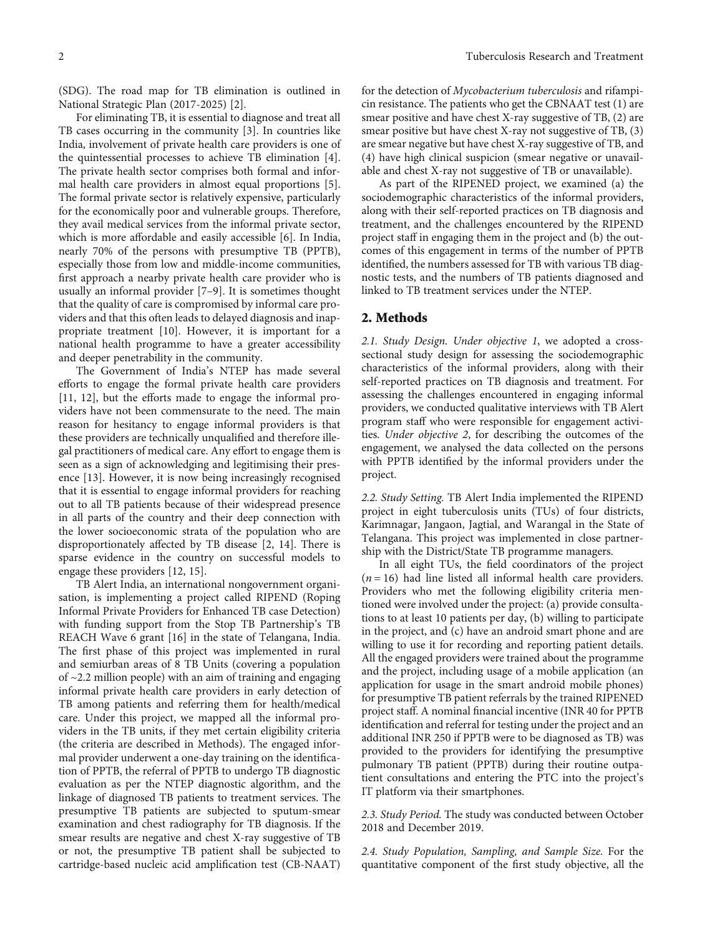(SDG). The road map for TB elimination is outlined in National Strategic Plan (2017-2025) [\[2\]](#page-8-0).

For eliminating TB, it is essential to diagnose and treat all TB cases occurring in the community [[3\]](#page-8-0). In countries like India, involvement of private health care providers is one of the quintessential processes to achieve TB elimination [[4](#page-8-0)]. The private health sector comprises both formal and informal health care providers in almost equal proportions [[5](#page-8-0)]. The formal private sector is relatively expensive, particularly for the economically poor and vulnerable groups. Therefore, they avail medical services from the informal private sector, which is more affordable and easily accessible [\[6](#page-8-0)]. In India, nearly 70% of the persons with presumptive TB (PPTB), especially those from low and middle-income communities, first approach a nearby private health care provider who is usually an informal provider [\[7](#page-8-0)–[9\]](#page-8-0). It is sometimes thought that the quality of care is compromised by informal care providers and that this often leads to delayed diagnosis and inappropriate treatment [\[10\]](#page-8-0). However, it is important for a national health programme to have a greater accessibility and deeper penetrability in the community.

The Government of India's NTEP has made several efforts to engage the formal private health care providers [\[11](#page-8-0), [12\]](#page-8-0), but the efforts made to engage the informal providers have not been commensurate to the need. The main reason for hesitancy to engage informal providers is that these providers are technically unqualified and therefore illegal practitioners of medical care. Any effort to engage them is seen as a sign of acknowledging and legitimising their presence [\[13](#page-8-0)]. However, it is now being increasingly recognised that it is essential to engage informal providers for reaching out to all TB patients because of their widespread presence in all parts of the country and their deep connection with the lower socioeconomic strata of the population who are disproportionately affected by TB disease [\[2](#page-8-0), [14\]](#page-8-0). There is sparse evidence in the country on successful models to engage these providers [[12, 15\]](#page-8-0).

TB Alert India, an international nongovernment organisation, is implementing a project called RIPEND (Roping Informal Private Providers for Enhanced TB case Detection) with funding support from the Stop TB Partnership's TB REACH Wave 6 grant [[16](#page-8-0)] in the state of Telangana, India. The first phase of this project was implemented in rural and semiurban areas of 8 TB Units (covering a population of ~2.2 million people) with an aim of training and engaging informal private health care providers in early detection of TB among patients and referring them for health/medical care. Under this project, we mapped all the informal providers in the TB units, if they met certain eligibility criteria (the criteria are described in Methods). The engaged informal provider underwent a one-day training on the identification of PPTB, the referral of PPTB to undergo TB diagnostic evaluation as per the NTEP diagnostic algorithm, and the linkage of diagnosed TB patients to treatment services. The presumptive TB patients are subjected to sputum-smear examination and chest radiography for TB diagnosis. If the smear results are negative and chest X-ray suggestive of TB or not, the presumptive TB patient shall be subjected to cartridge-based nucleic acid amplification test (CB-NAAT)

for the detection of Mycobacterium tuberculosis and rifampicin resistance. The patients who get the CBNAAT test (1) are smear positive and have chest X-ray suggestive of TB, (2) are smear positive but have chest X-ray not suggestive of TB, (3) are smear negative but have chest X-ray suggestive of TB, and (4) have high clinical suspicion (smear negative or unavailable and chest X-ray not suggestive of TB or unavailable).

As part of the RIPENED project, we examined (a) the sociodemographic characteristics of the informal providers, along with their self-reported practices on TB diagnosis and treatment, and the challenges encountered by the RIPEND project staff in engaging them in the project and (b) the outcomes of this engagement in terms of the number of PPTB identified, the numbers assessed for TB with various TB diagnostic tests, and the numbers of TB patients diagnosed and linked to TB treatment services under the NTEP.

## 2. Methods

2.1. Study Design. Under objective 1, we adopted a crosssectional study design for assessing the sociodemographic characteristics of the informal providers, along with their self-reported practices on TB diagnosis and treatment. For assessing the challenges encountered in engaging informal providers, we conducted qualitative interviews with TB Alert program staff who were responsible for engagement activities. Under objective 2, for describing the outcomes of the engagement, we analysed the data collected on the persons with PPTB identified by the informal providers under the project.

2.2. Study Setting. TB Alert India implemented the RIPEND project in eight tuberculosis units (TUs) of four districts, Karimnagar, Jangaon, Jagtial, and Warangal in the State of Telangana. This project was implemented in close partnership with the District/State TB programme managers.

In all eight TUs, the field coordinators of the project  $(n = 16)$  had line listed all informal health care providers. Providers who met the following eligibility criteria mentioned were involved under the project: (a) provide consultations to at least 10 patients per day, (b) willing to participate in the project, and (c) have an android smart phone and are willing to use it for recording and reporting patient details. All the engaged providers were trained about the programme and the project, including usage of a mobile application (an application for usage in the smart android mobile phones) for presumptive TB patient referrals by the trained RIPENED project staff. A nominal financial incentive (INR 40 for PPTB identification and referral for testing under the project and an additional INR 250 if PPTB were to be diagnosed as TB) was provided to the providers for identifying the presumptive pulmonary TB patient (PPTB) during their routine outpatient consultations and entering the PTC into the project's IT platform via their smartphones.

2.3. Study Period. The study was conducted between October 2018 and December 2019.

2.4. Study Population, Sampling, and Sample Size. For the quantitative component of the first study objective, all the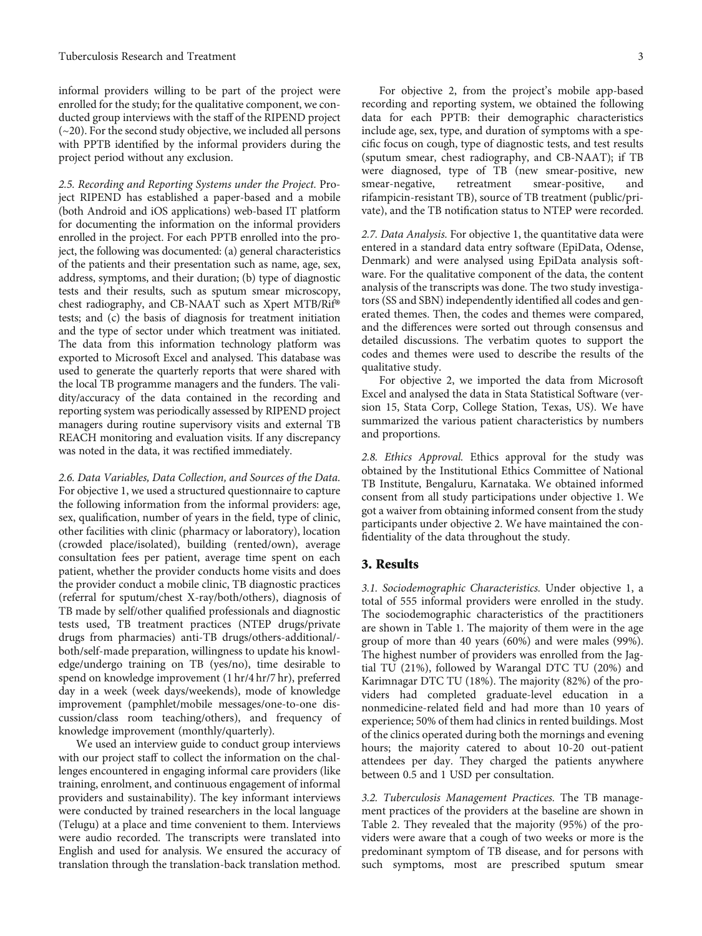informal providers willing to be part of the project were enrolled for the study; for the qualitative component, we conducted group interviews with the staff of the RIPEND project  $(-20)$ . For the second study objective, we included all persons with PPTB identified by the informal providers during the project period without any exclusion.

2.5. Recording and Reporting Systems under the Project. Project RIPEND has established a paper-based and a mobile (both Android and iOS applications) web-based IT platform for documenting the information on the informal providers enrolled in the project. For each PPTB enrolled into the project, the following was documented: (a) general characteristics of the patients and their presentation such as name, age, sex, address, symptoms, and their duration; (b) type of diagnostic tests and their results, such as sputum smear microscopy, chest radiography, and CB-NAAT such as Xpert MTB/Rif® tests; and (c) the basis of diagnosis for treatment initiation and the type of sector under which treatment was initiated. The data from this information technology platform was exported to Microsoft Excel and analysed. This database was used to generate the quarterly reports that were shared with the local TB programme managers and the funders. The validity/accuracy of the data contained in the recording and reporting system was periodically assessed by RIPEND project managers during routine supervisory visits and external TB REACH monitoring and evaluation visits. If any discrepancy was noted in the data, it was rectified immediately.

2.6. Data Variables, Data Collection, and Sources of the Data. For objective 1, we used a structured questionnaire to capture the following information from the informal providers: age, sex, qualification, number of years in the field, type of clinic, other facilities with clinic (pharmacy or laboratory), location (crowded place/isolated), building (rented/own), average consultation fees per patient, average time spent on each patient, whether the provider conducts home visits and does the provider conduct a mobile clinic, TB diagnostic practices (referral for sputum/chest X-ray/both/others), diagnosis of TB made by self/other qualified professionals and diagnostic tests used, TB treatment practices (NTEP drugs/private drugs from pharmacies) anti-TB drugs/others-additional/ both/self-made preparation, willingness to update his knowledge/undergo training on TB (yes/no), time desirable to spend on knowledge improvement (1 hr/4 hr/7 hr), preferred day in a week (week days/weekends), mode of knowledge improvement (pamphlet/mobile messages/one-to-one discussion/class room teaching/others), and frequency of knowledge improvement (monthly/quarterly).

We used an interview guide to conduct group interviews with our project staff to collect the information on the challenges encountered in engaging informal care providers (like training, enrolment, and continuous engagement of informal providers and sustainability). The key informant interviews were conducted by trained researchers in the local language (Telugu) at a place and time convenient to them. Interviews were audio recorded. The transcripts were translated into English and used for analysis. We ensured the accuracy of translation through the translation-back translation method.

For objective 2, from the project's mobile app-based recording and reporting system, we obtained the following data for each PPTB: their demographic characteristics include age, sex, type, and duration of symptoms with a specific focus on cough, type of diagnostic tests, and test results (sputum smear, chest radiography, and CB-NAAT); if TB were diagnosed, type of TB (new smear-positive, new smear-negative, retreatment smear-positive, and rifampicin-resistant TB), source of TB treatment (public/private), and the TB notification status to NTEP were recorded.

2.7. Data Analysis. For objective 1, the quantitative data were entered in a standard data entry software (EpiData, Odense, Denmark) and were analysed using EpiData analysis software. For the qualitative component of the data, the content analysis of the transcripts was done. The two study investigators (SS and SBN) independently identified all codes and generated themes. Then, the codes and themes were compared, and the differences were sorted out through consensus and detailed discussions. The verbatim quotes to support the codes and themes were used to describe the results of the qualitative study.

For objective 2, we imported the data from Microsoft Excel and analysed the data in Stata Statistical Software (version 15, Stata Corp, College Station, Texas, US). We have summarized the various patient characteristics by numbers and proportions.

2.8. Ethics Approval. Ethics approval for the study was obtained by the Institutional Ethics Committee of National TB Institute, Bengaluru, Karnataka. We obtained informed consent from all study participations under objective 1. We got a waiver from obtaining informed consent from the study participants under objective 2. We have maintained the confidentiality of the data throughout the study.

#### 3. Results

3.1. Sociodemographic Characteristics. Under objective 1, a total of 555 informal providers were enrolled in the study. The sociodemographic characteristics of the practitioners are shown in Table [1](#page-3-0). The majority of them were in the age group of more than 40 years (60%) and were males (99%). The highest number of providers was enrolled from the Jagtial TU (21%), followed by Warangal DTC TU (20%) and Karimnagar DTC TU (18%). The majority (82%) of the providers had completed graduate-level education in a nonmedicine-related field and had more than 10 years of experience; 50% of them had clinics in rented buildings. Most of the clinics operated during both the mornings and evening hours; the majority catered to about 10-20 out-patient attendees per day. They charged the patients anywhere between 0.5 and 1 USD per consultation.

3.2. Tuberculosis Management Practices. The TB management practices of the providers at the baseline are shown in Table [2](#page-4-0). They revealed that the majority (95%) of the providers were aware that a cough of two weeks or more is the predominant symptom of TB disease, and for persons with such symptoms, most are prescribed sputum smear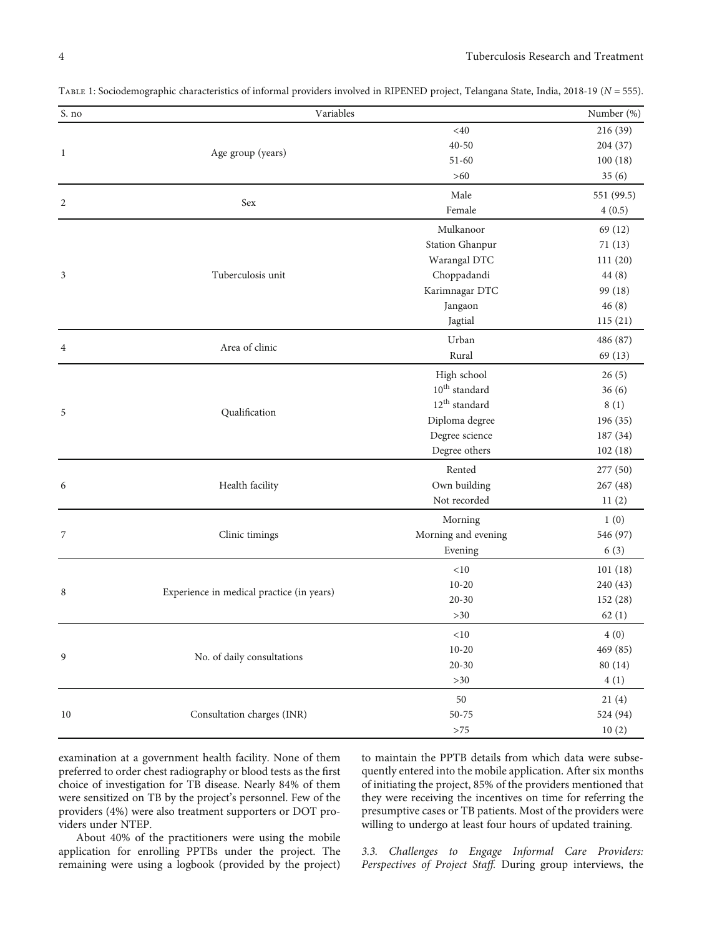<span id="page-3-0"></span>

| TABLE 1: Sociodemographic characteristics of informal providers involved in RIPENED project, Telangana State, India, 2018-19 (N = 555). |  |  |  |
|-----------------------------------------------------------------------------------------------------------------------------------------|--|--|--|
|                                                                                                                                         |  |  |  |

| $<\!\!40$<br>216 (39)<br>$40 - 50$<br>204 (37)<br>Age group (years)<br>1<br>100(18)<br>$51 - 60$<br>35(6)<br>>60<br>Male<br>551 (99.5)<br>$\overline{2}$<br>Sex<br>Female<br>4(0.5)<br>Mulkanoor<br>69 (12)<br><b>Station Ghanpur</b><br>71(13)<br>Warangal DTC<br>111(20)<br>Choppadandi<br>Tuberculosis unit<br>3<br>44 (8)<br>Karimnagar DTC<br>99 (18)<br>Jangaon<br>46(8)<br>Jagtial<br>115(21)<br>Urban<br>486 (87)<br>Area of clinic<br>4<br>Rural<br>69 (13)<br>High school<br>26(5)<br>$10^{\rm th}$ standard<br>36(6)<br>$12^{th}$ standard<br>8(1)<br>Qualification<br>5<br>Diploma degree<br>196 (35)<br>Degree science<br>187 (34)<br>Degree others<br>102(18)<br>Rented<br>277 (50)<br>Own building<br>267 (48)<br>Health facility<br>6<br>Not recorded<br>11(2)<br>1(0)<br>Morning<br>Morning and evening<br>7<br>Clinic timings<br>546 (97)<br>Evening<br>6(3)<br>$<\!\!10$<br>101(18)<br>240 (43)<br>$10 - 20$<br>Experience in medical practice (in years)<br>8<br>$20 - 30$<br>152 (28)<br>62(1)<br>$>30$<br>${<}10$<br>4(0)<br>$10 - 20$<br>469 (85)<br>No. of daily consultations<br>9<br>$20 - 30$<br>80 (14)<br>$>30$<br>4(1)<br>$50\,$<br>21(4)<br>Consultation charges (INR)<br>524 (94)<br>$10\,$<br>$50 - 75$<br>${>}75$<br>10(2) | S. no | Variables | Number (%) |
|--------------------------------------------------------------------------------------------------------------------------------------------------------------------------------------------------------------------------------------------------------------------------------------------------------------------------------------------------------------------------------------------------------------------------------------------------------------------------------------------------------------------------------------------------------------------------------------------------------------------------------------------------------------------------------------------------------------------------------------------------------------------------------------------------------------------------------------------------------------------------------------------------------------------------------------------------------------------------------------------------------------------------------------------------------------------------------------------------------------------------------------------------------------------------------------------------------------------------------------------------------------|-------|-----------|------------|
|                                                                                                                                                                                                                                                                                                                                                                                                                                                                                                                                                                                                                                                                                                                                                                                                                                                                                                                                                                                                                                                                                                                                                                                                                                                              |       |           |            |
|                                                                                                                                                                                                                                                                                                                                                                                                                                                                                                                                                                                                                                                                                                                                                                                                                                                                                                                                                                                                                                                                                                                                                                                                                                                              |       |           |            |
|                                                                                                                                                                                                                                                                                                                                                                                                                                                                                                                                                                                                                                                                                                                                                                                                                                                                                                                                                                                                                                                                                                                                                                                                                                                              |       |           |            |
|                                                                                                                                                                                                                                                                                                                                                                                                                                                                                                                                                                                                                                                                                                                                                                                                                                                                                                                                                                                                                                                                                                                                                                                                                                                              |       |           |            |
|                                                                                                                                                                                                                                                                                                                                                                                                                                                                                                                                                                                                                                                                                                                                                                                                                                                                                                                                                                                                                                                                                                                                                                                                                                                              |       |           |            |
|                                                                                                                                                                                                                                                                                                                                                                                                                                                                                                                                                                                                                                                                                                                                                                                                                                                                                                                                                                                                                                                                                                                                                                                                                                                              |       |           |            |
|                                                                                                                                                                                                                                                                                                                                                                                                                                                                                                                                                                                                                                                                                                                                                                                                                                                                                                                                                                                                                                                                                                                                                                                                                                                              |       |           |            |
|                                                                                                                                                                                                                                                                                                                                                                                                                                                                                                                                                                                                                                                                                                                                                                                                                                                                                                                                                                                                                                                                                                                                                                                                                                                              |       |           |            |
|                                                                                                                                                                                                                                                                                                                                                                                                                                                                                                                                                                                                                                                                                                                                                                                                                                                                                                                                                                                                                                                                                                                                                                                                                                                              |       |           |            |
|                                                                                                                                                                                                                                                                                                                                                                                                                                                                                                                                                                                                                                                                                                                                                                                                                                                                                                                                                                                                                                                                                                                                                                                                                                                              |       |           |            |
|                                                                                                                                                                                                                                                                                                                                                                                                                                                                                                                                                                                                                                                                                                                                                                                                                                                                                                                                                                                                                                                                                                                                                                                                                                                              |       |           |            |
|                                                                                                                                                                                                                                                                                                                                                                                                                                                                                                                                                                                                                                                                                                                                                                                                                                                                                                                                                                                                                                                                                                                                                                                                                                                              |       |           |            |
|                                                                                                                                                                                                                                                                                                                                                                                                                                                                                                                                                                                                                                                                                                                                                                                                                                                                                                                                                                                                                                                                                                                                                                                                                                                              |       |           |            |
|                                                                                                                                                                                                                                                                                                                                                                                                                                                                                                                                                                                                                                                                                                                                                                                                                                                                                                                                                                                                                                                                                                                                                                                                                                                              |       |           |            |
|                                                                                                                                                                                                                                                                                                                                                                                                                                                                                                                                                                                                                                                                                                                                                                                                                                                                                                                                                                                                                                                                                                                                                                                                                                                              |       |           |            |
|                                                                                                                                                                                                                                                                                                                                                                                                                                                                                                                                                                                                                                                                                                                                                                                                                                                                                                                                                                                                                                                                                                                                                                                                                                                              |       |           |            |
|                                                                                                                                                                                                                                                                                                                                                                                                                                                                                                                                                                                                                                                                                                                                                                                                                                                                                                                                                                                                                                                                                                                                                                                                                                                              |       |           |            |
|                                                                                                                                                                                                                                                                                                                                                                                                                                                                                                                                                                                                                                                                                                                                                                                                                                                                                                                                                                                                                                                                                                                                                                                                                                                              |       |           |            |
|                                                                                                                                                                                                                                                                                                                                                                                                                                                                                                                                                                                                                                                                                                                                                                                                                                                                                                                                                                                                                                                                                                                                                                                                                                                              |       |           |            |
|                                                                                                                                                                                                                                                                                                                                                                                                                                                                                                                                                                                                                                                                                                                                                                                                                                                                                                                                                                                                                                                                                                                                                                                                                                                              |       |           |            |
|                                                                                                                                                                                                                                                                                                                                                                                                                                                                                                                                                                                                                                                                                                                                                                                                                                                                                                                                                                                                                                                                                                                                                                                                                                                              |       |           |            |
|                                                                                                                                                                                                                                                                                                                                                                                                                                                                                                                                                                                                                                                                                                                                                                                                                                                                                                                                                                                                                                                                                                                                                                                                                                                              |       |           |            |
|                                                                                                                                                                                                                                                                                                                                                                                                                                                                                                                                                                                                                                                                                                                                                                                                                                                                                                                                                                                                                                                                                                                                                                                                                                                              |       |           |            |
|                                                                                                                                                                                                                                                                                                                                                                                                                                                                                                                                                                                                                                                                                                                                                                                                                                                                                                                                                                                                                                                                                                                                                                                                                                                              |       |           |            |
|                                                                                                                                                                                                                                                                                                                                                                                                                                                                                                                                                                                                                                                                                                                                                                                                                                                                                                                                                                                                                                                                                                                                                                                                                                                              |       |           |            |
|                                                                                                                                                                                                                                                                                                                                                                                                                                                                                                                                                                                                                                                                                                                                                                                                                                                                                                                                                                                                                                                                                                                                                                                                                                                              |       |           |            |
|                                                                                                                                                                                                                                                                                                                                                                                                                                                                                                                                                                                                                                                                                                                                                                                                                                                                                                                                                                                                                                                                                                                                                                                                                                                              |       |           |            |
|                                                                                                                                                                                                                                                                                                                                                                                                                                                                                                                                                                                                                                                                                                                                                                                                                                                                                                                                                                                                                                                                                                                                                                                                                                                              |       |           |            |
|                                                                                                                                                                                                                                                                                                                                                                                                                                                                                                                                                                                                                                                                                                                                                                                                                                                                                                                                                                                                                                                                                                                                                                                                                                                              |       |           |            |
|                                                                                                                                                                                                                                                                                                                                                                                                                                                                                                                                                                                                                                                                                                                                                                                                                                                                                                                                                                                                                                                                                                                                                                                                                                                              |       |           |            |
|                                                                                                                                                                                                                                                                                                                                                                                                                                                                                                                                                                                                                                                                                                                                                                                                                                                                                                                                                                                                                                                                                                                                                                                                                                                              |       |           |            |
|                                                                                                                                                                                                                                                                                                                                                                                                                                                                                                                                                                                                                                                                                                                                                                                                                                                                                                                                                                                                                                                                                                                                                                                                                                                              |       |           |            |
|                                                                                                                                                                                                                                                                                                                                                                                                                                                                                                                                                                                                                                                                                                                                                                                                                                                                                                                                                                                                                                                                                                                                                                                                                                                              |       |           |            |
|                                                                                                                                                                                                                                                                                                                                                                                                                                                                                                                                                                                                                                                                                                                                                                                                                                                                                                                                                                                                                                                                                                                                                                                                                                                              |       |           |            |
|                                                                                                                                                                                                                                                                                                                                                                                                                                                                                                                                                                                                                                                                                                                                                                                                                                                                                                                                                                                                                                                                                                                                                                                                                                                              |       |           |            |
|                                                                                                                                                                                                                                                                                                                                                                                                                                                                                                                                                                                                                                                                                                                                                                                                                                                                                                                                                                                                                                                                                                                                                                                                                                                              |       |           |            |
|                                                                                                                                                                                                                                                                                                                                                                                                                                                                                                                                                                                                                                                                                                                                                                                                                                                                                                                                                                                                                                                                                                                                                                                                                                                              |       |           |            |
|                                                                                                                                                                                                                                                                                                                                                                                                                                                                                                                                                                                                                                                                                                                                                                                                                                                                                                                                                                                                                                                                                                                                                                                                                                                              |       |           |            |

examination at a government health facility. None of them preferred to order chest radiography or blood tests as the first choice of investigation for TB disease. Nearly 84% of them were sensitized on TB by the project's personnel. Few of the providers (4%) were also treatment supporters or DOT providers under NTEP.

About 40% of the practitioners were using the mobile application for enrolling PPTBs under the project. The remaining were using a logbook (provided by the project)

to maintain the PPTB details from which data were subsequently entered into the mobile application. After six months of initiating the project, 85% of the providers mentioned that they were receiving the incentives on time for referring the presumptive cases or TB patients. Most of the providers were willing to undergo at least four hours of updated training.

3.3. Challenges to Engage Informal Care Providers: Perspectives of Project Staff. During group interviews, the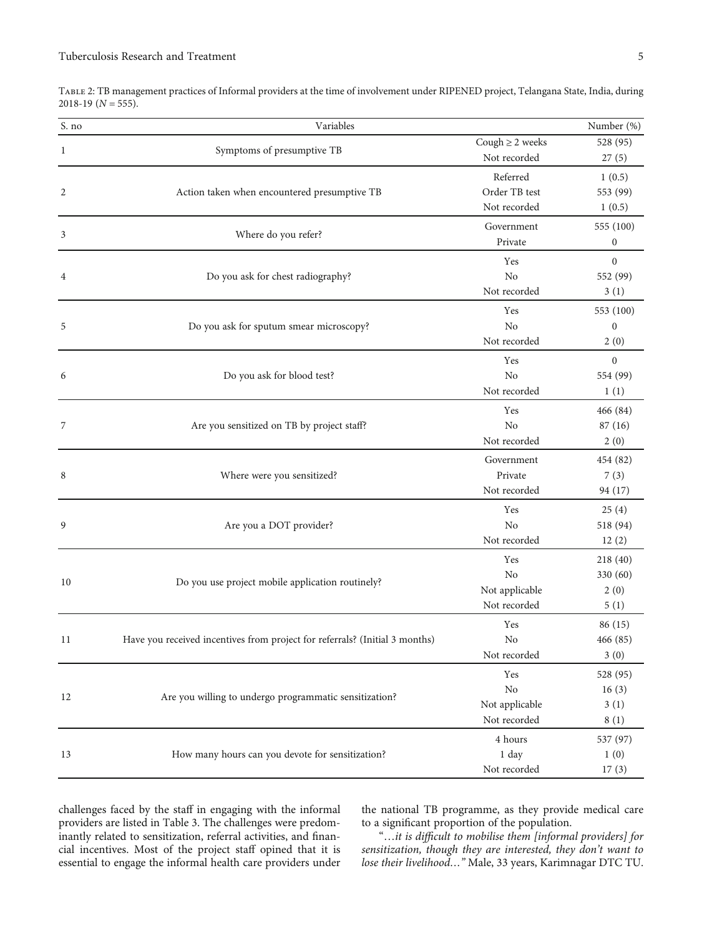<span id="page-4-0"></span>

|                      | TABLE 2: TB management practices of Informal providers at the time of involvement under RIPENED project, Telangana State, India, during |  |  |  |  |
|----------------------|-----------------------------------------------------------------------------------------------------------------------------------------|--|--|--|--|
| $2018-19$ (N = 555). |                                                                                                                                         |  |  |  |  |
|                      |                                                                                                                                         |  |  |  |  |

| Cough $\geq 2$ weeks<br>528 (95)<br>Symptoms of presumptive TB<br>$\mathbf{1}$<br>Not recorded<br>27(5)<br>Referred<br>1(0.5)<br>Order TB test<br>553 (99)<br>$\overline{2}$<br>Action taken when encountered presumptive TB<br>Not recorded<br>1(0.5)<br>Government<br>555 (100)<br>Where do you refer?<br>3<br>Private<br>$\boldsymbol{0}$<br>$\boldsymbol{0}$<br>Yes<br>No<br>Do you ask for chest radiography?<br>552 (99)<br>$\overline{4}$<br>Not recorded<br>3(1)<br>Yes<br>553 (100)<br>No<br>5<br>Do you ask for sputum smear microscopy?<br>$\boldsymbol{0}$<br>Not recorded<br>2(0)<br>$\mathbf{0}$<br>Yes<br>No<br>554 (99)<br>Do you ask for blood test?<br>6<br>Not recorded<br>1(1)<br>Yes<br>466 (84)<br>No<br>Are you sensitized on TB by project staff?<br>87 (16)<br>7<br>Not recorded<br>2(0)<br>Government<br>454 (82)<br>Private<br>Where were you sensitized?<br>7(3)<br>8<br>Not recorded<br>94 (17)<br>Yes<br>25(4)<br>N <sub>o</sub><br>Are you a DOT provider?<br>518 (94)<br>9<br>Not recorded<br>12(2)<br>Yes<br>218 (40)<br>No<br>330 (60)<br>Do you use project mobile application routinely?<br>10<br>Not applicable<br>2(0)<br>Not recorded<br>5(1)<br>Yes<br>86 (15)<br>466 (85)<br>Have you received incentives from project for referrals? (Initial 3 months)<br>No<br>11<br>Not recorded<br>3(0)<br>Yes<br>528 (95)<br>$\rm No$<br>16(3)<br>Are you willing to undergo programmatic sensitization?<br>12<br>Not applicable<br>3(1)<br>Not recorded<br>8(1)<br>4 hours<br>537 (97)<br>1 day<br>How many hours can you devote for sensitization?<br>1(0)<br>13<br>Not recorded<br>17(3) | S. no | Variables | Number (%) |
|----------------------------------------------------------------------------------------------------------------------------------------------------------------------------------------------------------------------------------------------------------------------------------------------------------------------------------------------------------------------------------------------------------------------------------------------------------------------------------------------------------------------------------------------------------------------------------------------------------------------------------------------------------------------------------------------------------------------------------------------------------------------------------------------------------------------------------------------------------------------------------------------------------------------------------------------------------------------------------------------------------------------------------------------------------------------------------------------------------------------------------------------------------------------------------------------------------------------------------------------------------------------------------------------------------------------------------------------------------------------------------------------------------------------------------------------------------------------------------------------------------------------------------------------------------------------------------------------------------------------------|-------|-----------|------------|
|                                                                                                                                                                                                                                                                                                                                                                                                                                                                                                                                                                                                                                                                                                                                                                                                                                                                                                                                                                                                                                                                                                                                                                                                                                                                                                                                                                                                                                                                                                                                                                                                                            |       |           |            |
|                                                                                                                                                                                                                                                                                                                                                                                                                                                                                                                                                                                                                                                                                                                                                                                                                                                                                                                                                                                                                                                                                                                                                                                                                                                                                                                                                                                                                                                                                                                                                                                                                            |       |           |            |
|                                                                                                                                                                                                                                                                                                                                                                                                                                                                                                                                                                                                                                                                                                                                                                                                                                                                                                                                                                                                                                                                                                                                                                                                                                                                                                                                                                                                                                                                                                                                                                                                                            |       |           |            |
|                                                                                                                                                                                                                                                                                                                                                                                                                                                                                                                                                                                                                                                                                                                                                                                                                                                                                                                                                                                                                                                                                                                                                                                                                                                                                                                                                                                                                                                                                                                                                                                                                            |       |           |            |
|                                                                                                                                                                                                                                                                                                                                                                                                                                                                                                                                                                                                                                                                                                                                                                                                                                                                                                                                                                                                                                                                                                                                                                                                                                                                                                                                                                                                                                                                                                                                                                                                                            |       |           |            |
|                                                                                                                                                                                                                                                                                                                                                                                                                                                                                                                                                                                                                                                                                                                                                                                                                                                                                                                                                                                                                                                                                                                                                                                                                                                                                                                                                                                                                                                                                                                                                                                                                            |       |           |            |
|                                                                                                                                                                                                                                                                                                                                                                                                                                                                                                                                                                                                                                                                                                                                                                                                                                                                                                                                                                                                                                                                                                                                                                                                                                                                                                                                                                                                                                                                                                                                                                                                                            |       |           |            |
|                                                                                                                                                                                                                                                                                                                                                                                                                                                                                                                                                                                                                                                                                                                                                                                                                                                                                                                                                                                                                                                                                                                                                                                                                                                                                                                                                                                                                                                                                                                                                                                                                            |       |           |            |
|                                                                                                                                                                                                                                                                                                                                                                                                                                                                                                                                                                                                                                                                                                                                                                                                                                                                                                                                                                                                                                                                                                                                                                                                                                                                                                                                                                                                                                                                                                                                                                                                                            |       |           |            |
|                                                                                                                                                                                                                                                                                                                                                                                                                                                                                                                                                                                                                                                                                                                                                                                                                                                                                                                                                                                                                                                                                                                                                                                                                                                                                                                                                                                                                                                                                                                                                                                                                            |       |           |            |
|                                                                                                                                                                                                                                                                                                                                                                                                                                                                                                                                                                                                                                                                                                                                                                                                                                                                                                                                                                                                                                                                                                                                                                                                                                                                                                                                                                                                                                                                                                                                                                                                                            |       |           |            |
|                                                                                                                                                                                                                                                                                                                                                                                                                                                                                                                                                                                                                                                                                                                                                                                                                                                                                                                                                                                                                                                                                                                                                                                                                                                                                                                                                                                                                                                                                                                                                                                                                            |       |           |            |
|                                                                                                                                                                                                                                                                                                                                                                                                                                                                                                                                                                                                                                                                                                                                                                                                                                                                                                                                                                                                                                                                                                                                                                                                                                                                                                                                                                                                                                                                                                                                                                                                                            |       |           |            |
|                                                                                                                                                                                                                                                                                                                                                                                                                                                                                                                                                                                                                                                                                                                                                                                                                                                                                                                                                                                                                                                                                                                                                                                                                                                                                                                                                                                                                                                                                                                                                                                                                            |       |           |            |
|                                                                                                                                                                                                                                                                                                                                                                                                                                                                                                                                                                                                                                                                                                                                                                                                                                                                                                                                                                                                                                                                                                                                                                                                                                                                                                                                                                                                                                                                                                                                                                                                                            |       |           |            |
|                                                                                                                                                                                                                                                                                                                                                                                                                                                                                                                                                                                                                                                                                                                                                                                                                                                                                                                                                                                                                                                                                                                                                                                                                                                                                                                                                                                                                                                                                                                                                                                                                            |       |           |            |
|                                                                                                                                                                                                                                                                                                                                                                                                                                                                                                                                                                                                                                                                                                                                                                                                                                                                                                                                                                                                                                                                                                                                                                                                                                                                                                                                                                                                                                                                                                                                                                                                                            |       |           |            |
|                                                                                                                                                                                                                                                                                                                                                                                                                                                                                                                                                                                                                                                                                                                                                                                                                                                                                                                                                                                                                                                                                                                                                                                                                                                                                                                                                                                                                                                                                                                                                                                                                            |       |           |            |
|                                                                                                                                                                                                                                                                                                                                                                                                                                                                                                                                                                                                                                                                                                                                                                                                                                                                                                                                                                                                                                                                                                                                                                                                                                                                                                                                                                                                                                                                                                                                                                                                                            |       |           |            |
|                                                                                                                                                                                                                                                                                                                                                                                                                                                                                                                                                                                                                                                                                                                                                                                                                                                                                                                                                                                                                                                                                                                                                                                                                                                                                                                                                                                                                                                                                                                                                                                                                            |       |           |            |
|                                                                                                                                                                                                                                                                                                                                                                                                                                                                                                                                                                                                                                                                                                                                                                                                                                                                                                                                                                                                                                                                                                                                                                                                                                                                                                                                                                                                                                                                                                                                                                                                                            |       |           |            |
|                                                                                                                                                                                                                                                                                                                                                                                                                                                                                                                                                                                                                                                                                                                                                                                                                                                                                                                                                                                                                                                                                                                                                                                                                                                                                                                                                                                                                                                                                                                                                                                                                            |       |           |            |
|                                                                                                                                                                                                                                                                                                                                                                                                                                                                                                                                                                                                                                                                                                                                                                                                                                                                                                                                                                                                                                                                                                                                                                                                                                                                                                                                                                                                                                                                                                                                                                                                                            |       |           |            |
|                                                                                                                                                                                                                                                                                                                                                                                                                                                                                                                                                                                                                                                                                                                                                                                                                                                                                                                                                                                                                                                                                                                                                                                                                                                                                                                                                                                                                                                                                                                                                                                                                            |       |           |            |
|                                                                                                                                                                                                                                                                                                                                                                                                                                                                                                                                                                                                                                                                                                                                                                                                                                                                                                                                                                                                                                                                                                                                                                                                                                                                                                                                                                                                                                                                                                                                                                                                                            |       |           |            |
|                                                                                                                                                                                                                                                                                                                                                                                                                                                                                                                                                                                                                                                                                                                                                                                                                                                                                                                                                                                                                                                                                                                                                                                                                                                                                                                                                                                                                                                                                                                                                                                                                            |       |           |            |
|                                                                                                                                                                                                                                                                                                                                                                                                                                                                                                                                                                                                                                                                                                                                                                                                                                                                                                                                                                                                                                                                                                                                                                                                                                                                                                                                                                                                                                                                                                                                                                                                                            |       |           |            |
|                                                                                                                                                                                                                                                                                                                                                                                                                                                                                                                                                                                                                                                                                                                                                                                                                                                                                                                                                                                                                                                                                                                                                                                                                                                                                                                                                                                                                                                                                                                                                                                                                            |       |           |            |
|                                                                                                                                                                                                                                                                                                                                                                                                                                                                                                                                                                                                                                                                                                                                                                                                                                                                                                                                                                                                                                                                                                                                                                                                                                                                                                                                                                                                                                                                                                                                                                                                                            |       |           |            |
|                                                                                                                                                                                                                                                                                                                                                                                                                                                                                                                                                                                                                                                                                                                                                                                                                                                                                                                                                                                                                                                                                                                                                                                                                                                                                                                                                                                                                                                                                                                                                                                                                            |       |           |            |
|                                                                                                                                                                                                                                                                                                                                                                                                                                                                                                                                                                                                                                                                                                                                                                                                                                                                                                                                                                                                                                                                                                                                                                                                                                                                                                                                                                                                                                                                                                                                                                                                                            |       |           |            |
|                                                                                                                                                                                                                                                                                                                                                                                                                                                                                                                                                                                                                                                                                                                                                                                                                                                                                                                                                                                                                                                                                                                                                                                                                                                                                                                                                                                                                                                                                                                                                                                                                            |       |           |            |
|                                                                                                                                                                                                                                                                                                                                                                                                                                                                                                                                                                                                                                                                                                                                                                                                                                                                                                                                                                                                                                                                                                                                                                                                                                                                                                                                                                                                                                                                                                                                                                                                                            |       |           |            |
|                                                                                                                                                                                                                                                                                                                                                                                                                                                                                                                                                                                                                                                                                                                                                                                                                                                                                                                                                                                                                                                                                                                                                                                                                                                                                                                                                                                                                                                                                                                                                                                                                            |       |           |            |
|                                                                                                                                                                                                                                                                                                                                                                                                                                                                                                                                                                                                                                                                                                                                                                                                                                                                                                                                                                                                                                                                                                                                                                                                                                                                                                                                                                                                                                                                                                                                                                                                                            |       |           |            |
|                                                                                                                                                                                                                                                                                                                                                                                                                                                                                                                                                                                                                                                                                                                                                                                                                                                                                                                                                                                                                                                                                                                                                                                                                                                                                                                                                                                                                                                                                                                                                                                                                            |       |           |            |
|                                                                                                                                                                                                                                                                                                                                                                                                                                                                                                                                                                                                                                                                                                                                                                                                                                                                                                                                                                                                                                                                                                                                                                                                                                                                                                                                                                                                                                                                                                                                                                                                                            |       |           |            |
|                                                                                                                                                                                                                                                                                                                                                                                                                                                                                                                                                                                                                                                                                                                                                                                                                                                                                                                                                                                                                                                                                                                                                                                                                                                                                                                                                                                                                                                                                                                                                                                                                            |       |           |            |
|                                                                                                                                                                                                                                                                                                                                                                                                                                                                                                                                                                                                                                                                                                                                                                                                                                                                                                                                                                                                                                                                                                                                                                                                                                                                                                                                                                                                                                                                                                                                                                                                                            |       |           |            |

challenges faced by the staff in engaging with the informal providers are listed in Table [3.](#page-5-0) The challenges were predominantly related to sensitization, referral activities, and financial incentives. Most of the project staff opined that it is essential to engage the informal health care providers under

the national TB programme, as they provide medical care to a significant proportion of the population.

"…it is difficult to mobilise them [informal providers] for sensitization, though they are interested, they don't want to lose their livelihood…" Male, 33 years, Karimnagar DTC TU.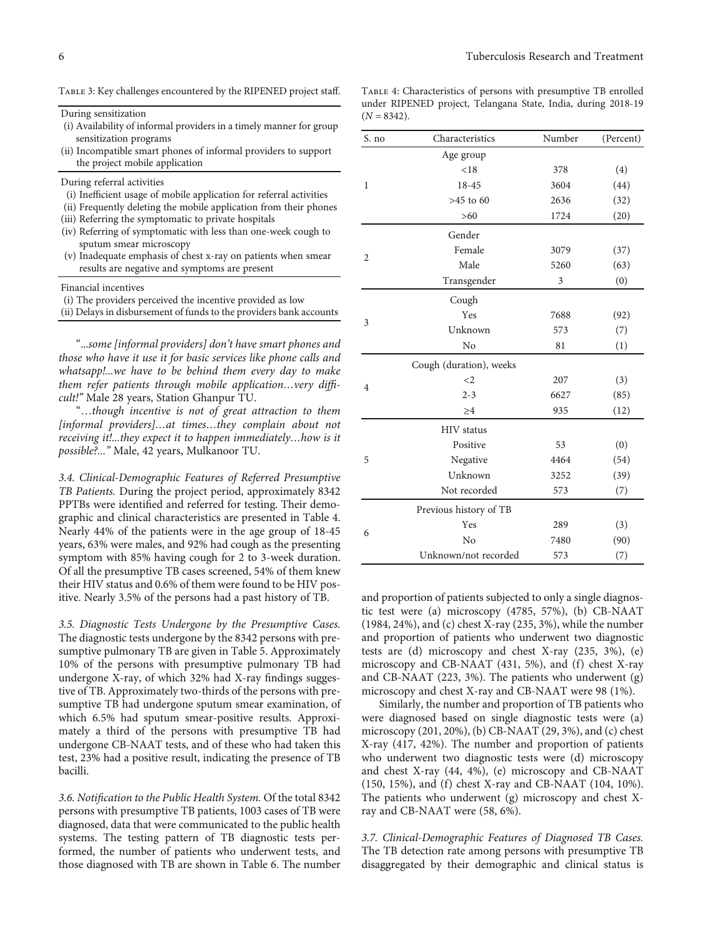<span id="page-5-0"></span>TABLE 3: Key challenges encountered by the RIPENED project staff.

During sensitization

- (i) Availability of informal providers in a timely manner for group sensitization programs
- (ii) Incompatible smart phones of informal providers to support the project mobile application

During referral activities

- (i) Inefficient usage of mobile application for referral activities
- (ii) Frequently deleting the mobile application from their phones
- (iii) Referring the symptomatic to private hospitals
- (iv) Referring of symptomatic with less than one-week cough to sputum smear microscopy
- (v) Inadequate emphasis of chest x-ray on patients when smear results are negative and symptoms are present

Financial incentives

- (i) The providers perceived the incentive provided as low
- (ii) Delays in disbursement of funds to the providers bank accounts

"...some [informal providers] don't have smart phones and those who have it use it for basic services like phone calls and whatsapp!...we have to be behind them every day to make them refer patients through mobile application…very difficult!" Male 28 years, Station Ghanpur TU.

"…though incentive is not of great attraction to them [informal providers]…at times…they complain about not receiving it!...they expect it to happen immediately…how is it possible?..." Male, 42 years, Mulkanoor TU.

3.4. Clinical-Demographic Features of Referred Presumptive TB Patients. During the project period, approximately 8342 PPTBs were identified and referred for testing. Their demographic and clinical characteristics are presented in Table 4. Nearly 44% of the patients were in the age group of 18-45 years, 63% were males, and 92% had cough as the presenting symptom with 85% having cough for 2 to 3-week duration. Of all the presumptive TB cases screened, 54% of them knew their HIV status and 0.6% of them were found to be HIV positive. Nearly 3.5% of the persons had a past history of TB.

3.5. Diagnostic Tests Undergone by the Presumptive Cases. The diagnostic tests undergone by the 8342 persons with presumptive pulmonary TB are given in Table [5.](#page-6-0) Approximately 10% of the persons with presumptive pulmonary TB had undergone X-ray, of which 32% had X-ray findings suggestive of TB. Approximately two-thirds of the persons with presumptive TB had undergone sputum smear examination, of which 6.5% had sputum smear-positive results. Approximately a third of the persons with presumptive TB had undergone CB-NAAT tests, and of these who had taken this test, 23% had a positive result, indicating the presence of TB bacilli.

3.6. Notification to the Public Health System. Of the total 8342 persons with presumptive TB patients, 1003 cases of TB were diagnosed, data that were communicated to the public health systems. The testing pattern of TB diagnostic tests performed, the number of patients who underwent tests, and those diagnosed with TB are shown in Table [6](#page-7-0). The number

Table 4: Characteristics of persons with presumptive TB enrolled under RIPENED project, Telangana State, India, during 2018-19  $(N = 8342)$ .

| S. no          | Characteristics         | Number | (Percent) |
|----------------|-------------------------|--------|-----------|
|                | Age group               |        |           |
|                | < 18                    | 378    | (4)       |
| 1              | 18-45                   | 3604   | (44)      |
|                | $>45$ to $60$           | 2636   | (32)      |
|                | $>60$                   | 1724   | (20)      |
|                | Gender                  |        |           |
|                | Female                  | 3079   | (37)      |
| $\overline{2}$ | Male                    | 5260   | (63)      |
|                | Transgender             | 3      | (0)       |
|                | Cough                   |        |           |
|                | Yes                     | 7688   | (92)      |
| 3              | Unknown                 | 573    | (7)       |
|                | No                      | 81     | (1)       |
|                | Cough (duration), weeks |        |           |
|                | $\leq$ 2                | 207    | (3)       |
| 4              | $2 - 3$                 | 6627   | (85)      |
|                | $\geq 4$                | 935    | (12)      |
|                | <b>HIV</b> status       |        |           |
|                | Positive                | 53     | (0)       |
| 5              | Negative                | 4464   | (54)      |
|                | Unknown                 | 3252   | (39)      |
|                | Not recorded            | 573    | (7)       |
|                | Previous history of TB  |        |           |
| 6              | Yes                     | 289    | (3)       |
|                | No                      | 7480   | (90)      |
|                | Unknown/not recorded    | 573    | (7)       |

and proportion of patients subjected to only a single diagnostic test were (a) microscopy (4785, 57%), (b) CB-NAAT (1984, 24%), and (c) chest X-ray (235, 3%), while the number and proportion of patients who underwent two diagnostic tests are (d) microscopy and chest X-ray (235, 3%), (e) microscopy and CB-NAAT (431, 5%), and (f) chest X-ray and CB-NAAT (223, 3%). The patients who underwent (g) microscopy and chest X-ray and CB-NAAT were 98 (1%).

Similarly, the number and proportion of TB patients who were diagnosed based on single diagnostic tests were (a) microscopy (201, 20%), (b) CB-NAAT (29, 3%), and (c) chest X-ray (417, 42%). The number and proportion of patients who underwent two diagnostic tests were (d) microscopy and chest X-ray (44, 4%), (e) microscopy and CB-NAAT (150, 15%), and (f) chest X-ray and CB-NAAT (104, 10%). The patients who underwent (g) microscopy and chest Xray and CB-NAAT were (58, 6%).

3.7. Clinical-Demographic Features of Diagnosed TB Cases. The TB detection rate among persons with presumptive TB disaggregated by their demographic and clinical status is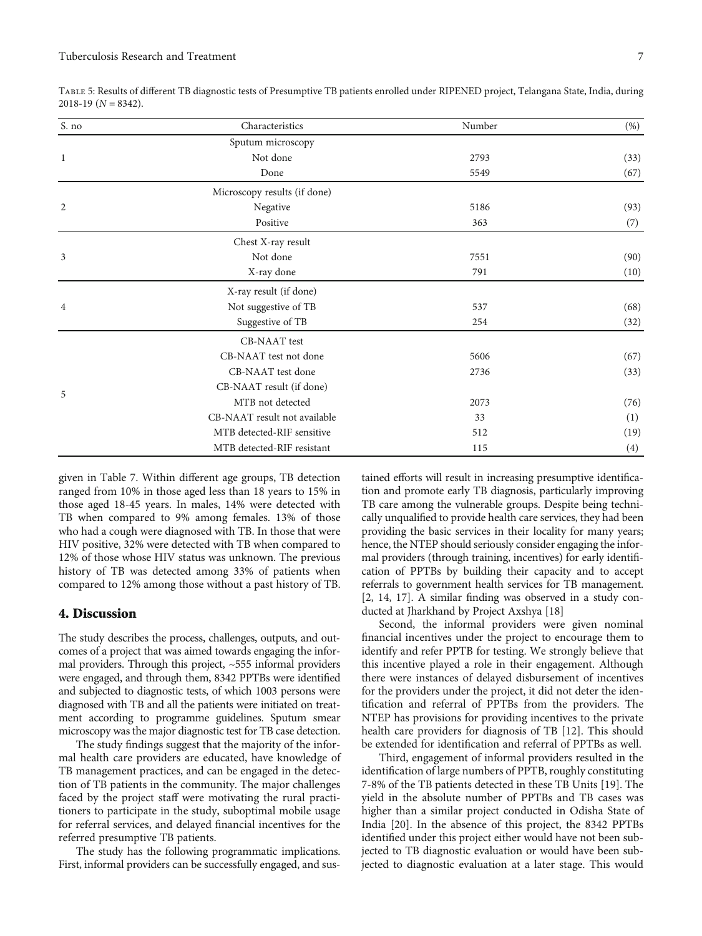| S. no          | Characteristics              | Number | (%)  |
|----------------|------------------------------|--------|------|
|                | Sputum microscopy            |        |      |
| $\mathbf{1}$   | Not done                     | 2793   | (33) |
|                | Done                         | 5549   | (67) |
|                | Microscopy results (if done) |        |      |
| $\overline{2}$ | Negative                     | 5186   | (93) |
|                | Positive                     | 363    | (7)  |
|                | Chest X-ray result           |        |      |
| 3              | Not done                     | 7551   | (90) |
|                | X-ray done                   | 791    | (10) |
|                | X-ray result (if done)       |        |      |
| $\overline{4}$ | Not suggestive of TB         | 537    | (68) |
|                | Suggestive of TB             | 254    | (32) |
|                | CB-NAAT test                 |        |      |
|                | CB-NAAT test not done        | 5606   | (67) |
|                | CB-NAAT test done            | 2736   | (33) |
| 5              | CB-NAAT result (if done)     |        |      |
|                | MTB not detected             | 2073   | (76) |
|                | CB-NAAT result not available | 33     | (1)  |
|                | MTB detected-RIF sensitive   | 512    | (19) |
|                | MTB detected-RIF resistant   | 115    | (4)  |

<span id="page-6-0"></span>Table 5: Results of different TB diagnostic tests of Presumptive TB patients enrolled under RIPENED project, Telangana State, India, during 2018-19 (*<sup>N</sup>* = 8342).

given in Table [7.](#page-7-0) Within different age groups, TB detection ranged from 10% in those aged less than 18 years to 15% in those aged 18-45 years. In males, 14% were detected with TB when compared to 9% among females. 13% of those who had a cough were diagnosed with TB. In those that were HIV positive, 32% were detected with TB when compared to 12% of those whose HIV status was unknown. The previous history of TB was detected among 33% of patients when compared to 12% among those without a past history of TB.

#### 4. Discussion

The study describes the process, challenges, outputs, and outcomes of a project that was aimed towards engaging the informal providers. Through this project, ~555 informal providers were engaged, and through them, 8342 PPTBs were identified and subjected to diagnostic tests, of which 1003 persons were diagnosed with TB and all the patients were initiated on treatment according to programme guidelines. Sputum smear microscopy was the major diagnostic test for TB case detection.

The study findings suggest that the majority of the informal health care providers are educated, have knowledge of TB management practices, and can be engaged in the detection of TB patients in the community. The major challenges faced by the project staff were motivating the rural practitioners to participate in the study, suboptimal mobile usage for referral services, and delayed financial incentives for the referred presumptive TB patients.

The study has the following programmatic implications. First, informal providers can be successfully engaged, and sustained efforts will result in increasing presumptive identification and promote early TB diagnosis, particularly improving TB care among the vulnerable groups. Despite being technically unqualified to provide health care services, they had been providing the basic services in their locality for many years; hence, the NTEP should seriously consider engaging the informal providers (through training, incentives) for early identification of PPTBs by building their capacity and to accept referrals to government health services for TB management. [\[2](#page-8-0), [14](#page-8-0), [17\]](#page-9-0). A similar finding was observed in a study conducted at Jharkhand by Project Axshya [\[18\]](#page-9-0)

Second, the informal providers were given nominal financial incentives under the project to encourage them to identify and refer PPTB for testing. We strongly believe that this incentive played a role in their engagement. Although there were instances of delayed disbursement of incentives for the providers under the project, it did not deter the identification and referral of PPTBs from the providers. The NTEP has provisions for providing incentives to the private health care providers for diagnosis of TB [\[12](#page-8-0)]. This should be extended for identification and referral of PPTBs as well.

Third, engagement of informal providers resulted in the identification of large numbers of PPTB, roughly constituting 7-8% of the TB patients detected in these TB Units [[19](#page-9-0)]. The yield in the absolute number of PPTBs and TB cases was higher than a similar project conducted in Odisha State of India [\[20\]](#page-9-0). In the absence of this project, the 8342 PPTBs identified under this project either would have not been subjected to TB diagnostic evaluation or would have been subjected to diagnostic evaluation at a later stage. This would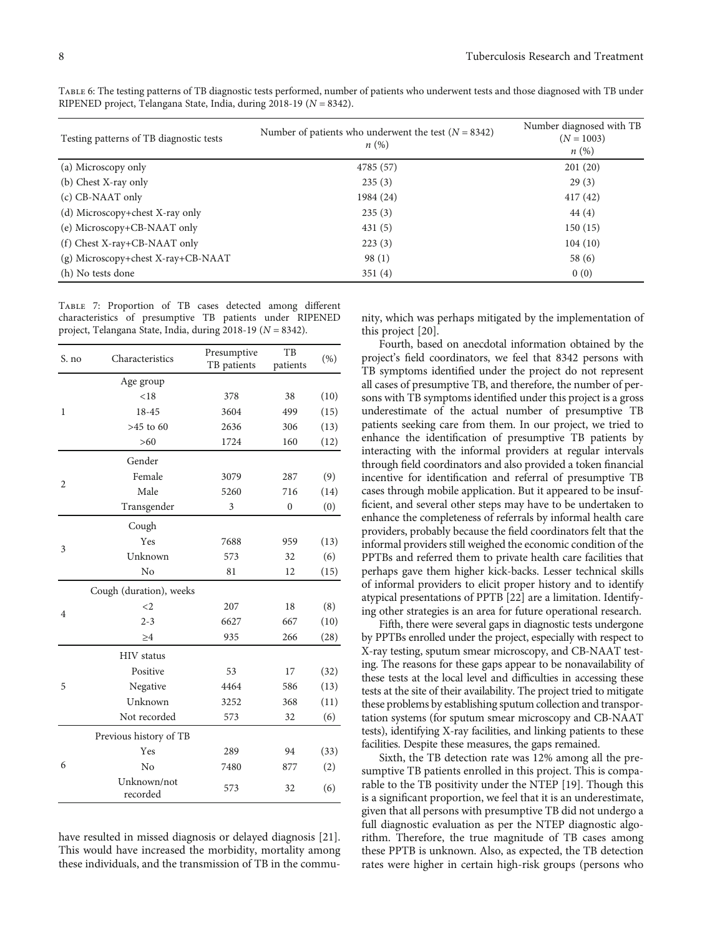| Testing patterns of TB diagnostic tests | Number of patients who underwent the test $(N = 8342)$<br>n(%) | Number diagnosed with TB<br>$(N = 1003)$<br>$n\left(\%\right)$ |
|-----------------------------------------|----------------------------------------------------------------|----------------------------------------------------------------|
| (a) Microscopy only                     | 4785 (57)                                                      | 201(20)                                                        |
| (b) Chest X-ray only                    | 235(3)                                                         | 29(3)                                                          |
| (c) CB-NAAT only                        | 1984 (24)                                                      | 417(42)                                                        |
| (d) Microscopy+chest X-ray only         | 235(3)                                                         | 44(4)                                                          |
| (e) Microscopy+CB-NAAT only             | 431(5)                                                         | 150(15)                                                        |
| $(f)$ Chest X-ray+CB-NAAT only          | 223(3)                                                         | 104(10)                                                        |
| (g) Microscopy+chest X-ray+CB-NAAT      | 98(1)                                                          | 58 (6)                                                         |
| (h) No tests done                       | 351(4)                                                         | 0(0)                                                           |

<span id="page-7-0"></span>Table 6: The testing patterns of TB diagnostic tests performed, number of patients who underwent tests and those diagnosed with TB under RIPENED project, Telangana State, India, during 2018-19 (*<sup>N</sup>* = 8342).

Table 7: Proportion of TB cases detected among different characteristics of presumptive TB patients under RIPENED project, Telangana State, India, during 2018-19 (*<sup>N</sup>* = 8342).

| S. no          | Characteristics         | Presumptive | TB               | (% ) |
|----------------|-------------------------|-------------|------------------|------|
|                |                         | TB patients | patients         |      |
|                | Age group               |             |                  |      |
|                | < 18                    | 378         | 38               | (10) |
| 1              | 18-45                   | 3604        | 499              | (15) |
|                | $>45$ to $60$           | 2636        | 306              | (13) |
|                | $>60$                   | 1724        | 160              | (12) |
|                | Gender                  |             |                  |      |
| $\overline{2}$ | Female                  | 3079        | 287              | (9)  |
|                | Male                    | 5260        | 716              | (14) |
|                | Transgender             | 3           | $\boldsymbol{0}$ | (0)  |
|                | Cough                   |             |                  |      |
|                | Yes                     | 7688        | 959              | (13) |
| 3              | Unknown                 | 573         | 32               | (6)  |
|                | No                      | 81          | 12               | (15) |
|                | Cough (duration), weeks |             |                  |      |
|                | $\leq$ 2                | 207         | 18               | (8)  |
| $\overline{4}$ | $2 - 3$                 | 6627        | 667              | (10) |
|                | $\geq 4$                | 935         | 266              | (28) |
|                | <b>HIV</b> status       |             |                  |      |
|                | Positive                | 53          | 17               | (32) |
| 5              | Negative                | 4464        | 586              | (13) |
|                | Unknown                 | 3252        | 368              | (11) |
|                | Not recorded            | 573         | 32               | (6)  |
|                | Previous history of TB  |             |                  |      |
| 6              | Yes                     | 289         | 94               | (33) |
|                | No                      | 7480        | 877              | (2)  |
|                | Unknown/not<br>recorded | 573         | 32               | (6)  |

have resulted in missed diagnosis or delayed diagnosis [[21](#page-9-0)]. This would have increased the morbidity, mortality among these individuals, and the transmission of TB in the community, which was perhaps mitigated by the implementation of this project [\[20\]](#page-9-0).

Fourth, based on anecdotal information obtained by the project's field coordinators, we feel that 8342 persons with TB symptoms identified under the project do not represent all cases of presumptive TB, and therefore, the number of persons with TB symptoms identified under this project is a gross underestimate of the actual number of presumptive TB patients seeking care from them. In our project, we tried to enhance the identification of presumptive TB patients by interacting with the informal providers at regular intervals through field coordinators and also provided a token financial incentive for identification and referral of presumptive TB cases through mobile application. But it appeared to be insufficient, and several other steps may have to be undertaken to enhance the completeness of referrals by informal health care providers, probably because the field coordinators felt that the informal providers still weighed the economic condition of the PPTBs and referred them to private health care facilities that perhaps gave them higher kick-backs. Lesser technical skills of informal providers to elicit proper history and to identify atypical presentations of PPTB [[22](#page-9-0)] are a limitation. Identifying other strategies is an area for future operational research.

Fifth, there were several gaps in diagnostic tests undergone by PPTBs enrolled under the project, especially with respect to X-ray testing, sputum smear microscopy, and CB-NAAT testing. The reasons for these gaps appear to be nonavailability of these tests at the local level and difficulties in accessing these tests at the site of their availability. The project tried to mitigate these problems by establishing sputum collection and transportation systems (for sputum smear microscopy and CB-NAAT tests), identifying X-ray facilities, and linking patients to these facilities. Despite these measures, the gaps remained.

Sixth, the TB detection rate was 12% among all the presumptive TB patients enrolled in this project. This is comparable to the TB positivity under the NTEP [\[19\]](#page-9-0). Though this is a significant proportion, we feel that it is an underestimate, given that all persons with presumptive TB did not undergo a full diagnostic evaluation as per the NTEP diagnostic algorithm. Therefore, the true magnitude of TB cases among these PPTB is unknown. Also, as expected, the TB detection rates were higher in certain high-risk groups (persons who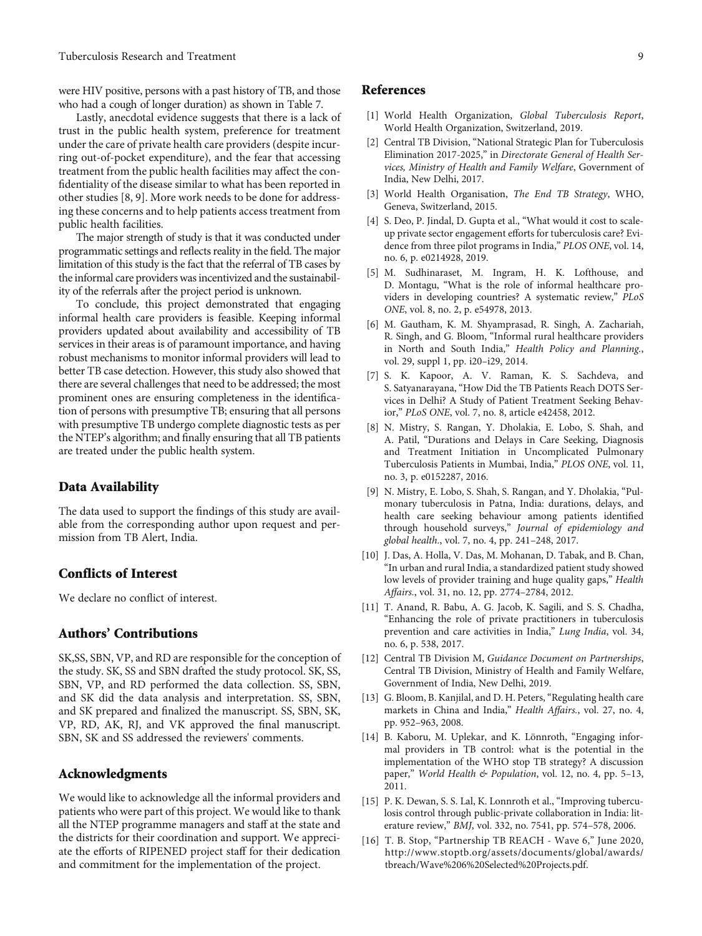<span id="page-8-0"></span>were HIV positive, persons with a past history of TB, and those who had a cough of longer duration) as shown in Table [7](#page-7-0).

Lastly, anecdotal evidence suggests that there is a lack of trust in the public health system, preference for treatment under the care of private health care providers (despite incurring out-of-pocket expenditure), and the fear that accessing treatment from the public health facilities may affect the confidentiality of the disease similar to what has been reported in other studies [8, 9]. More work needs to be done for addressing these concerns and to help patients access treatment from public health facilities.

The major strength of study is that it was conducted under programmatic settings and reflects reality in the field. The major limitation of this study is the fact that the referral of TB cases by the informal care providers was incentivized and the sustainability of the referrals after the project period is unknown.

To conclude, this project demonstrated that engaging informal health care providers is feasible. Keeping informal providers updated about availability and accessibility of TB services in their areas is of paramount importance, and having robust mechanisms to monitor informal providers will lead to better TB case detection. However, this study also showed that there are several challenges that need to be addressed; the most prominent ones are ensuring completeness in the identification of persons with presumptive TB; ensuring that all persons with presumptive TB undergo complete diagnostic tests as per the NTEP's algorithm; and finally ensuring that all TB patients are treated under the public health system.

#### Data Availability

The data used to support the findings of this study are available from the corresponding author upon request and permission from TB Alert, India.

## Conflicts of Interest

We declare no conflict of interest.

# Authors' Contributions

SK,SS, SBN, VP, and RD are responsible for the conception of the study. SK, SS and SBN drafted the study protocol. SK, SS, SBN, VP, and RD performed the data collection. SS, SBN, and SK did the data analysis and interpretation. SS, SBN, and SK prepared and finalized the manuscript. SS, SBN, SK, VP, RD, AK, RJ, and VK approved the final manuscript. SBN, SK and SS addressed the reviewers' comments.

# Acknowledgments

We would like to acknowledge all the informal providers and patients who were part of this project. We would like to thank all the NTEP programme managers and staff at the state and the districts for their coordination and support. We appreciate the efforts of RIPENED project staff for their dedication and commitment for the implementation of the project.

#### References

- [1] World Health Organization, Global Tuberculosis Report, World Health Organization, Switzerland, 2019.
- [2] Central TB Division, "National Strategic Plan for Tuberculosis Elimination 2017-2025," in Directorate General of Health Services, Ministry of Health and Family Welfare, Government of India, New Delhi, 2017.
- [3] World Health Organisation, The End TB Strategy, WHO, Geneva, Switzerland, 2015.
- [4] S. Deo, P. Jindal, D. Gupta et al., "What would it cost to scaleup private sector engagement efforts for tuberculosis care? Evidence from three pilot programs in India," PLOS ONE, vol. 14, no. 6, p. e0214928, 2019.
- [5] M. Sudhinaraset, M. Ingram, H. K. Lofthouse, and D. Montagu, "What is the role of informal healthcare providers in developing countries? A systematic review," PLoS ONE, vol. 8, no. 2, p. e54978, 2013.
- [6] M. Gautham, K. M. Shyamprasad, R. Singh, A. Zachariah, R. Singh, and G. Bloom, "Informal rural healthcare providers in North and South India," Health Policy and Planning., vol. 29, suppl 1, pp. i20–i29, 2014.
- [7] S. K. Kapoor, A. V. Raman, K. S. Sachdeva, and S. Satyanarayana, "How Did the TB Patients Reach DOTS Services in Delhi? A Study of Patient Treatment Seeking Behavior," PLoS ONE, vol. 7, no. 8, article e42458, 2012.
- [8] N. Mistry, S. Rangan, Y. Dholakia, E. Lobo, S. Shah, and A. Patil, "Durations and Delays in Care Seeking, Diagnosis and Treatment Initiation in Uncomplicated Pulmonary Tuberculosis Patients in Mumbai, India," PLOS ONE, vol. 11, no. 3, p. e0152287, 2016.
- [9] N. Mistry, E. Lobo, S. Shah, S. Rangan, and Y. Dholakia, "Pulmonary tuberculosis in Patna, India: durations, delays, and health care seeking behaviour among patients identified through household surveys," Journal of epidemiology and global health., vol. 7, no. 4, pp. 241–248, 2017.
- [10] J. Das, A. Holla, V. Das, M. Mohanan, D. Tabak, and B. Chan, "In urban and rural India, a standardized patient study showed low levels of provider training and huge quality gaps," Health Affairs., vol. 31, no. 12, pp. 2774–2784, 2012.
- [11] T. Anand, R. Babu, A. G. Jacob, K. Sagili, and S. S. Chadha, "Enhancing the role of private practitioners in tuberculosis prevention and care activities in India," Lung India, vol. 34, no. 6, p. 538, 2017.
- [12] Central TB Division M, Guidance Document on Partnerships, Central TB Division, Ministry of Health and Family Welfare, Government of India, New Delhi, 2019.
- [13] G. Bloom, B. Kanjilal, and D. H. Peters, "Regulating health care markets in China and India," Health Affairs., vol. 27, no. 4, pp. 952–963, 2008.
- [14] B. Kaboru, M. Uplekar, and K. Lönnroth, "Engaging informal providers in TB control: what is the potential in the implementation of the WHO stop TB strategy? A discussion paper," World Health & Population, vol. 12, no. 4, pp. 5-13, 2011.
- [15] P. K. Dewan, S. S. Lal, K. Lonnroth et al., "Improving tuberculosis control through public-private collaboration in India: literature review," BMJ, vol. 332, no. 7541, pp. 574–578, 2006.
- [16] T. B. Stop, "Partnership TB REACH Wave 6," June 2020, [http://www.stoptb.org/assets/documents/global/awards/](http://www.stoptb.org/assets/documents/global/awards/tbreach/Wave%206%20Selected%20Projects.pdf) [tbreach/Wave%206%20Selected%20Projects.pdf.](http://www.stoptb.org/assets/documents/global/awards/tbreach/Wave%206%20Selected%20Projects.pdf)